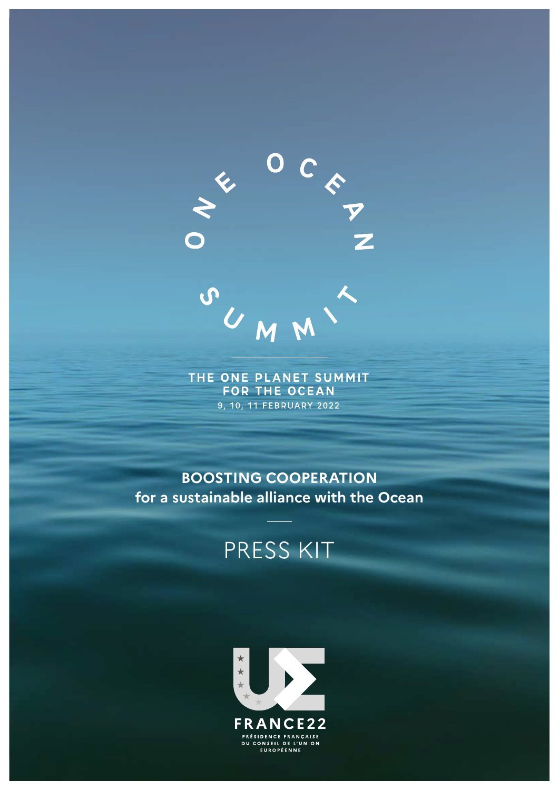

THE ONE PLANET SUMMIT **FOR THE OCEAN** 9, 10, 11 FEBRUARY 2022

**BOOSTING COOPERATION for a sustainable alliance with the Ocean**

# PRESS KIT

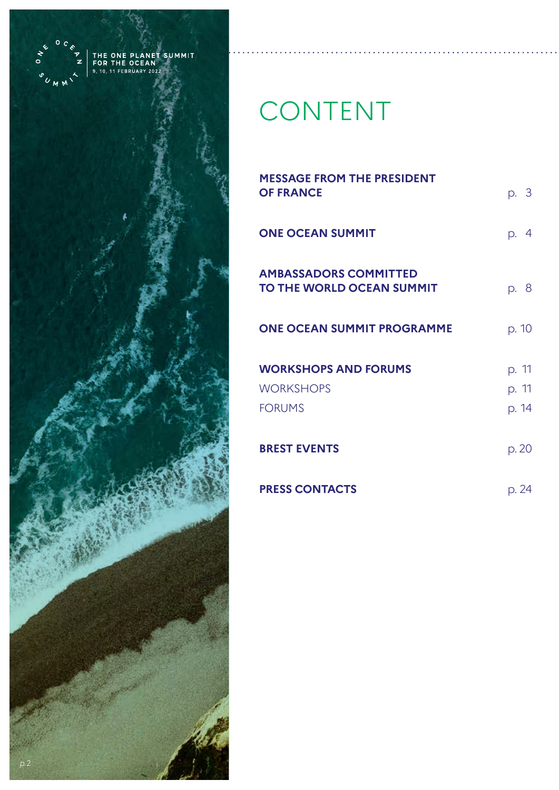

# CONTENT

| <b>MESSAGE FROM THE PRESIDENT</b><br><b>OF FRANCE</b>     | p. 3           |
|-----------------------------------------------------------|----------------|
| <b>ONE OCEAN SUMMIT</b>                                   | p. 4           |
| <b>AMBASSADORS COMMITTED</b><br>TO THE WORLD OCEAN SUMMIT | p. 8           |
| <b>ONE OCEAN SUMMIT PROGRAMME</b>                         | p. 10          |
| <b>WORKSHOPS AND FORUMS</b><br><b>WORKSHOPS</b>           | p. 11<br>p. 11 |
| <b>FORUMS</b>                                             | p. 14          |
| <b>BREST EVENTS</b>                                       | p. 20          |
| <b>PRESS CONTACTS</b>                                     | p. 24          |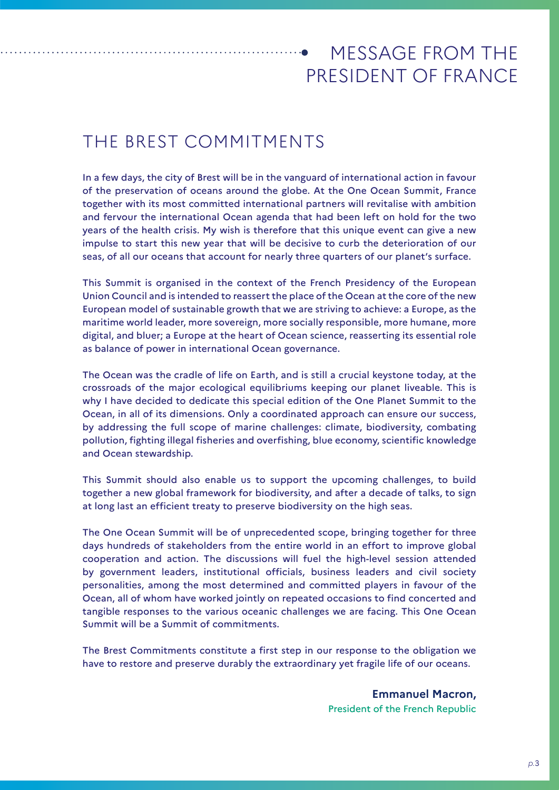# MESSAGE FROM THE PRESIDENT OF FRANCE

# THE BREST COMMITMENTS

In a few days, the city of Brest will be in the vanguard of international action in favour of the preservation of oceans around the globe. At the One Ocean Summit, France together with its most committed international partners will revitalise with ambition and fervour the international Ocean agenda that had been left on hold for the two years of the health crisis. My wish is therefore that this unique event can give a new impulse to start this new year that will be decisive to curb the deterioration of our seas, of all our oceans that account for nearly three quarters of our planet's surface.

This Summit is organised in the context of the French Presidency of the European Union Council and is intended to reassert the place of the Ocean at the core of the new European model of sustainable growth that we are striving to achieve: a Europe, as the maritime world leader, more sovereign, more socially responsible, more humane, more digital, and bluer; a Europe at the heart of Ocean science, reasserting its essential role as balance of power in international Ocean governance.

The Ocean was the cradle of life on Earth, and is still a crucial keystone today, at the crossroads of the major ecological equilibriums keeping our planet liveable. This is why I have decided to dedicate this special edition of the One Planet Summit to the Ocean, in all of its dimensions. Only a coordinated approach can ensure our success, by addressing the full scope of marine challenges: climate, biodiversity, combating pollution, fighting illegal fisheries and overfishing, blue economy, scientific knowledge and Ocean stewardship.

This Summit should also enable us to support the upcoming challenges, to build together a new global framework for biodiversity, and after a decade of talks, to sign at long last an efficient treaty to preserve biodiversity on the high seas.

The One Ocean Summit will be of unprecedented scope, bringing together for three days hundreds of stakeholders from the entire world in an effort to improve global cooperation and action. The discussions will fuel the high-level session attended by government leaders, institutional officials, business leaders and civil society personalities, among the most determined and committed players in favour of the Ocean, all of whom have worked jointly on repeated occasions to find concerted and tangible responses to the various oceanic challenges we are facing. This One Ocean Summit will be a Summit of commitments.

The Brest Commitments constitute a first step in our response to the obligation we have to restore and preserve durably the extraordinary yet fragile life of our oceans.

> **Emmanuel Macron,** President of the French Republic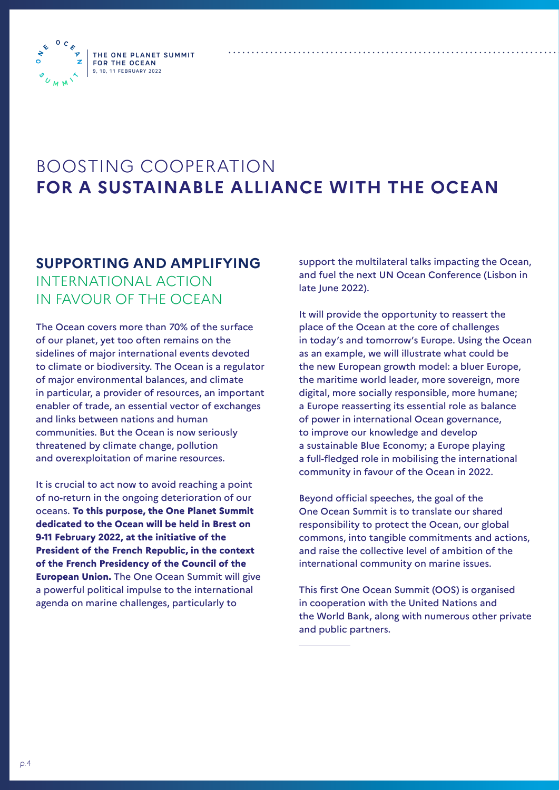**THE ONE PLANET SUMMIT FOR THE OCEAN** 9, 10, 11 FEBRUARY 2022

 $\bullet$ ь.



### **SUPPORTING AND AMPLIFYING**  INTERNATIONAL ACTION IN FAVOUR OF THE OCEAN

The Ocean covers more than 70% of the surface of our planet, yet too often remains on the sidelines of major international events devoted to climate or biodiversity. The Ocean is a regulator of major environmental balances, and climate in particular, a provider of resources, an important enabler of trade, an essential vector of exchanges and links between nations and human communities. But the Ocean is now seriously threatened by climate change, pollution and overexploitation of marine resources.

It is crucial to act now to avoid reaching a point of no-return in the ongoing deterioration of our oceans. **To this purpose, the One Planet Summit dedicated to the Ocean will be held in Brest on 9-11 February 2022, at the initiative of the President of the French Republic, in the context of the French Presidency of the Council of the European Union.** The One Ocean Summit will give a powerful political impulse to the international agenda on marine challenges, particularly to

support the multilateral talks impacting the Ocean, and fuel the next UN Ocean Conference (Lisbon in late June 2022).

It will provide the opportunity to reassert the place of the Ocean at the core of challenges in today's and tomorrow's Europe. Using the Ocean as an example, we will illustrate what could be the new European growth model: a bluer Europe, the maritime world leader, more sovereign, more digital, more socially responsible, more humane; a Europe reasserting its essential role as balance of power in international Ocean governance, to improve our knowledge and develop a sustainable Blue Economy; a Europe playing a full-fledged role in mobilising the international community in favour of the Ocean in 2022.

Beyond official speeches, the goal of the One Ocean Summit is to translate our shared responsibility to protect the Ocean, our global commons, into tangible commitments and actions, and raise the collective level of ambition of the international community on marine issues.

This first One Ocean Summit (OOS) is organised in cooperation with the United Nations and the World Bank, along with numerous other private and public partners.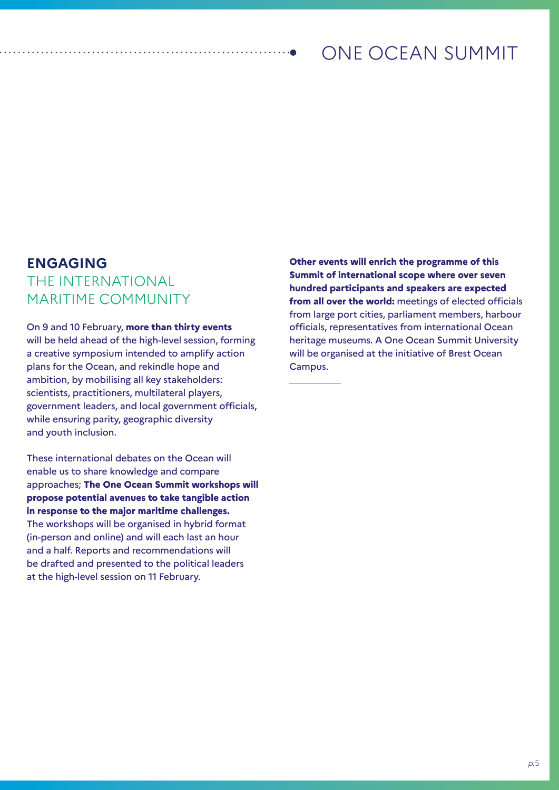# ONE OCEAN SUMMIT

### **ENGAGING**  THE INTERNATIONAL MARITIME COMMUNITY

On 9 and 10 February, **more than thirty events** will be held ahead of the high-level session, forming a creative symposium intended to amplify action plans for the Ocean, and rekindle hope and ambition, by mobilising all key stakeholders: scientists, practitioners, multilateral players, government leaders, and local government officials, while ensuring parity, geographic diversity and youth inclusion.

These international debates on the Ocean will enable us to share knowledge and compare approaches; **The One Ocean Summit workshops will propose potential avenues to take tangible action in response to the major maritime challenges.**  The workshops will be organised in hybrid format (in-person and online) and will each last an hour and a half. Reports and recommendations will be drafted and presented to the political leaders at the high-level session on 11 February.

**Other events will enrich the programme of this Summit of international scope where over seven hundred participants and speakers are expected from all over the world:** meetings of elected officials from large port cities, parliament members, harbour officials, representatives from international Ocean heritage museums. A One Ocean Summit University will be organised at the initiative of Brest Ocean Campus.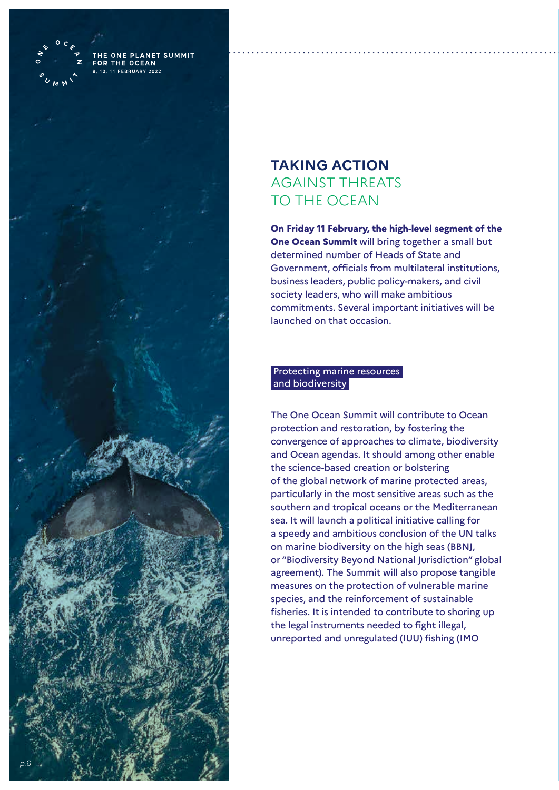

THE OCEA 11 FFRDUADY

### **TAKING ACTION**  AGAINST THREATS TO THE OCEAN

**On Friday 11 February, the high-level segment of the One Ocean Summit** will bring together a small but determined number of Heads of State and Government, officials from multilateral institutions, business leaders, public policy-makers, and civil society leaders, who will make ambitious commitments. Several important initiatives will be launched on that occasion.

#### Protecting marine resources and biodiversity

The One Ocean Summit will contribute to Ocean protection and restoration, by fostering the convergence of approaches to climate, biodiversity and Ocean agendas. It should among other enable the science-based creation or bolstering of the global network of marine protected areas, particularly in the most sensitive areas such as the southern and tropical oceans or the Mediterranean sea. It will launch a political initiative calling for a speedy and ambitious conclusion of the UN talks on marine biodiversity on the high seas (BBNJ, or "Biodiversity Beyond National Jurisdiction" global agreement). The Summit will also propose tangible measures on the protection of vulnerable marine species, and the reinforcement of sustainable fisheries. It is intended to contribute to shoring up the legal instruments needed to fight illegal, unreported and unregulated (IUU) fishing (IMO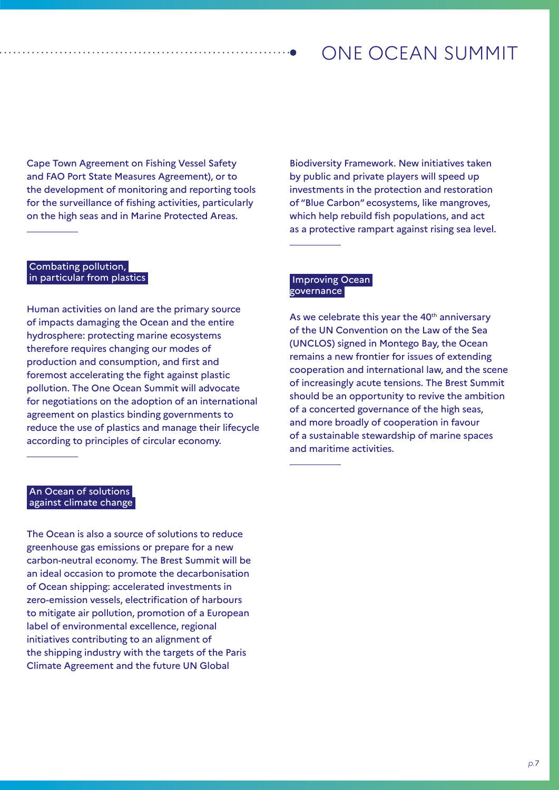## ONE OCEAN SUMMIT

Cape Town Agreement on Fishing Vessel Safety and FAO Port State Measures Agreement), or to the development of monitoring and reporting tools for the surveillance of fishing activities, particularly on the high seas and in Marine Protected Areas.

Biodiversity Framework. New initiatives taken by public and private players will speed up investments in the protection and restoration of "Blue Carbon" ecosystems, like mangroves, which help rebuild fish populations, and act as a protective rampart against rising sea level.

#### Combating pollution, in particular from plastics

Human activities on land are the primary source of impacts damaging the Ocean and the entire hydrosphere: protecting marine ecosystems therefore requires changing our modes of production and consumption, and first and foremost accelerating the fight against plastic pollution. The One Ocean Summit will advocate for negotiations on the adoption of an international agreement on plastics binding governments to reduce the use of plastics and manage their lifecycle according to principles of circular economy.

#### Improving Ocean governance

As we celebrate this year the 40<sup>th</sup> anniversary of the UN Convention on the Law of the Sea (UNCLOS) signed in Montego Bay, the Ocean remains a new frontier for issues of extending cooperation and international law, and the scene of increasingly acute tensions. The Brest Summit should be an opportunity to revive the ambition of a concerted governance of the high seas, and more broadly of cooperation in favour of a sustainable stewardship of marine spaces and maritime activities.

#### An Ocean of solutions against climate change

The Ocean is also a source of solutions to reduce greenhouse gas emissions or prepare for a new carbon-neutral economy. The Brest Summit will be an ideal occasion to promote the decarbonisation of Ocean shipping: accelerated investments in zero-emission vessels, electrification of harbours to mitigate air pollution, promotion of a European label of environmental excellence, regional initiatives contributing to an alignment of the shipping industry with the targets of the Paris Climate Agreement and the future UN Global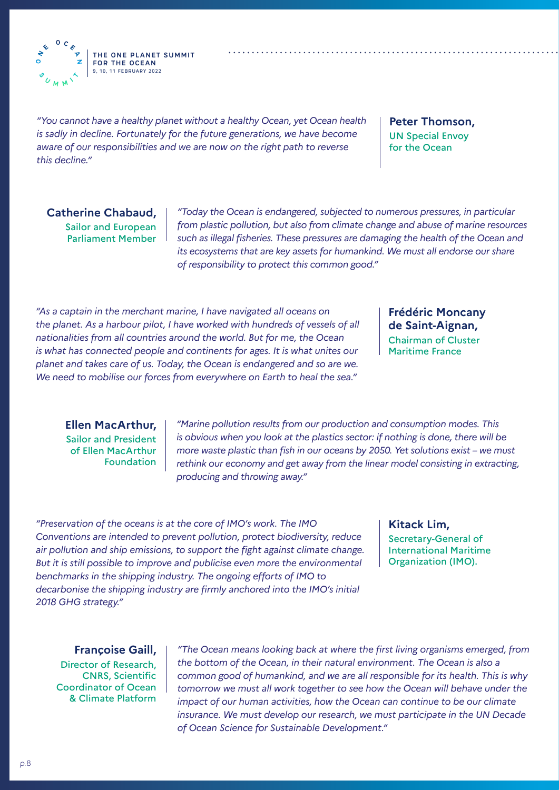**THE ONE PLANET SUMMIT FOR THE OCEAN** 9, 10, 11 FEBRUARY 2022

*"You cannot have a healthy planet without a healthy Ocean, yet Ocean health is sadly in decline. Fortunately for the future generations, we have become aware of our responsibilities and we are now on the right path to reverse this decline."*

**Peter Thomson,** UN Special Envoy for the Ocean

**Catherine Chabaud,**  Sailor and European Parliament Member

 $\Omega$  $\epsilon$ 

 $\rightarrow$ 

*"Today the Ocean is endangered, subjected to numerous pressures, in particular from plastic pollution, but also from climate change and abuse of marine resources such as illegal fisheries. These pressures are damaging the health of the Ocean and its ecosystems that are key assets for humankind. We must all endorse our share of responsibility to protect this common good."* 

*"As a captain in the merchant marine, I have navigated all oceans on the planet. As a harbour pilot, I have worked with hundreds of vessels of all nationalities from all countries around the world. But for me, the Ocean is what has connected people and continents for ages. It is what unites our planet and takes care of us. Today, the Ocean is endangered and so are we. We need to mobilise our forces from everywhere on Earth to heal the sea."*

**Frédéric Moncany de Saint-Aignan,** Chairman of Cluster Maritime France

**Ellen MacArthur,** Sailor and President of Ellen MacArthur Foundation

*"Marine pollution results from our production and consumption modes. This is obvious when you look at the plastics sector: if nothing is done, there will be more waste plastic than fish in our oceans by 2050. Yet solutions exist – we must rethink our economy and get away from the linear model consisting in extracting, producing and throwing away."*

*"Preservation of the oceans is at the core of IMO's work. The IMO Conventions are intended to prevent pollution, protect biodiversity, reduce air pollution and ship emissions, to support the fight against climate change. But it is still possible to improve and publicise even more the environmental benchmarks in the shipping industry. The ongoing efforts of IMO to decarbonise the shipping industry are firmly anchored into the IMO's initial 2018 GHG strategy."*

**Kitack Lim,** Secretary-General of International Maritime Organization (IMO).

**Françoise Gaill,**  Director of Research, CNRS, Scientific Coordinator of Ocean & Climate Platform

*"The Ocean means looking back at where the first living organisms emerged, from the bottom of the Ocean, in their natural environment. The Ocean is also a common good of humankind, and we are all responsible for its health. This is why tomorrow we must all work together to see how the Ocean will behave under the impact of our human activities, how the Ocean can continue to be our climate insurance. We must develop our research, we must participate in the UN Decade of Ocean Science for Sustainable Development."*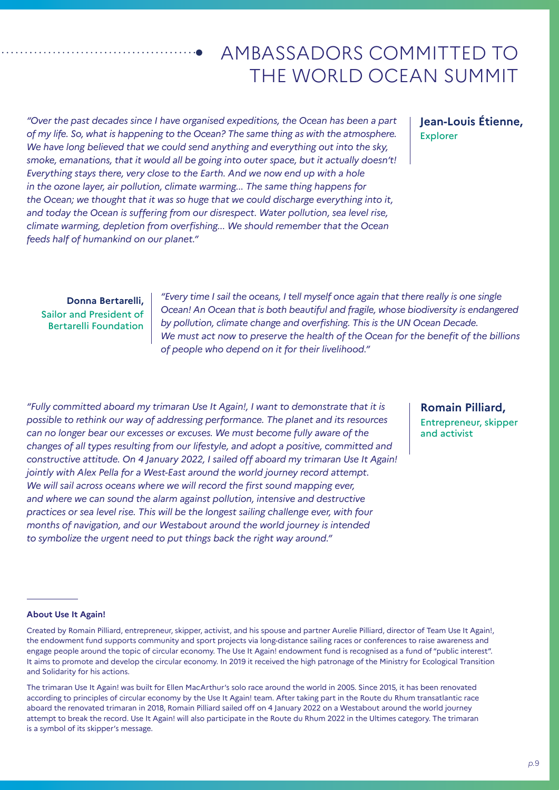# AMBASSADORS COMMITTED TO THE WORLD OCEAN SUMMIT

*"Over the past decades since I have organised expeditions, the Ocean has been a part of my life. So, what is happening to the Ocean? The same thing as with the atmosphere. We have long believed that we could send anything and everything out into the sky, smoke, emanations, that it would all be going into outer space, but it actually doesn't! Everything stays there, very close to the Earth. And we now end up with a hole in the ozone layer, air pollution, climate warming... The same thing happens for the Ocean; we thought that it was so huge that we could discharge everything into it, and today the Ocean is suffering from our disrespect. Water pollution, sea level rise, climate warming, depletion from overfishing... We should remember that the Ocean feeds half of humankind on our planet."*

#### **Jean-Louis Étienne,**  Explorer

**Donna Bertarelli,** Sailor and President of Bertarelli Foundation

*"Every time I sail the oceans, I tell myself once again that there really is one single Ocean! An Ocean that is both beautiful and fragile, whose biodiversity is endangered by pollution, climate change and overfishing. This is the UN Ocean Decade. We must act now to preserve the health of the Ocean for the benefit of the billions of people who depend on it for their livelihood."*

*"Fully committed aboard my trimaran Use It Again!, I want to demonstrate that it is possible to rethink our way of addressing performance. The planet and its resources can no longer bear our excesses or excuses. We must become fully aware of the changes of all types resulting from our lifestyle, and adopt a positive, committed and constructive attitude. On 4 January 2022, I sailed off aboard my trimaran Use It Again! jointly with Alex Pella for a West-East around the world journey record attempt. We will sail across oceans where we will record the first sound mapping ever, and where we can sound the alarm against pollution, intensive and destructive practices or sea level rise. This will be the longest sailing challenge ever, with four months of navigation, and our Westabout around the world journey is intended to symbolize the urgent need to put things back the right way around."*

**Romain Pilliard,** Entrepreneur, skipper and activist

#### **About Use It Again!**

Created by Romain Pilliard, entrepreneur, skipper, activist, and his spouse and partner Aurelie Pilliard, director of Team Use It Again!, the endowment fund supports community and sport projects via long-distance sailing races or conferences to raise awareness and engage people around the topic of circular economy. The Use It Again! endowment fund is recognised as a fund of "public interest". It aims to promote and develop the circular economy. In 2019 it received the high patronage of the Ministry for Ecological Transition and Solidarity for his actions.

The trimaran Use It Again! was built for Ellen MacArthur's solo race around the world in 2005. Since 2015, it has been renovated according to principles of circular economy by the Use It Again! team. After taking part in the Route du Rhum transatlantic race aboard the renovated trimaran in 2018, Romain Pilliard sailed off on 4 January 2022 on a Westabout around the world journey attempt to break the record. Use It Again! will also participate in the Route du Rhum 2022 in the Ultimes category. The trimaran is a symbol of its skipper's message.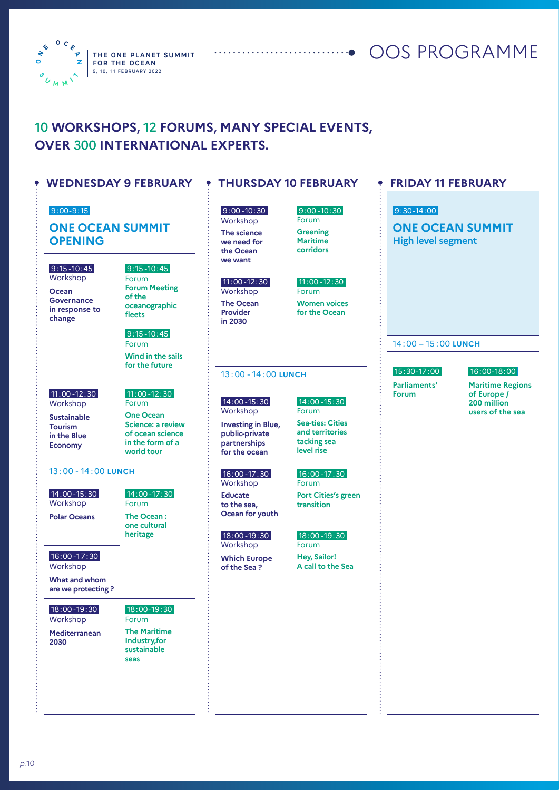

**THE ONE PLANET SUMMIT** OOS PROGRAMME

### 10 **WORKSHOPS**, 12 **FORUMS**, **MANY SPECIAL EVENTS, OVER** 300 **INTERNATIONAL EXPERTS.**

#### **WEDNESDAY 9 FEBRUARY**

#### 9:00-9:15

#### **ONE OCEAN SUMMIT OPENING**

9:15 -10:45

Workshop **Ocean Governance in response to change**

 9:15 -10:45 Forum **Forum Meeting of the oceanographic fleets**

#### 9:15 -10:45

Forum **Wind in the sails for the future**

 11:00 -12:30 Workshop

- **Sustainable Tourism in the Blue Economy**
- Forum **One Ocean Science: a review of ocean science in the form of a world tour**

 14:00 -17:30 Forum **The Ocean : one cultural heritage** 

11:00 -12:30

#### 13 : 00 - 14 : 00 **LUNCH**

 14:00 -15:30 Workshop

**Polar Oceans**

16:00 -17:30

Workshop

**What and whom are we protecting ?**

 18:00 -19:30 Workshop

**Mediterranean 2030**

#### 18:00-19:30

Forum **The Maritime Industry,for sustainable seas**

### **THURSDAY 10 FEBRUARY**

#### 9:00 -10:30 Workshop **The science**

**we need for the Ocean we want**

#### 11:00 -12:30

Workshop **The Ocean Provider in 2030**

**Maritime corridors**  11:00 -12:30 Forum

9:00 -10:30 Forum **Greening** 

**Women voices for the Ocean**

#### 13 : 00 - 14 : 00 **LUNCH**

#### 14:00 -15:30 Workshop

14:00 -15:30 Forum

**Investing in Blue, public-private partnerships for the ocean**

**Sea-ties: Cities and territories tacking sea level rise**

#### 16:00 -17:30

Workshop **Educate to the sea, Ocean for youth**

#### 18:00 -19:30

**Workshop Which Europe** 

**of the Sea ?**

# **Port Cities's green**

#### 18:00 -19:30

Forum **Hey, Sailor! A call to the Sea**

#### **FRIDAY 11 FEBRUARY**

#### 9:30-14:00

**ONE OCEAN SUMMIT High level segment**

#### 14 : 00 – 15 : 00 **LUNCH**

 15:30-17:00 **Parliaments' Forum**

#### 16:00-18:00

**Maritime Regions of Europe / 200 million users of the sea**

16:00 -17:30 Forum **transition**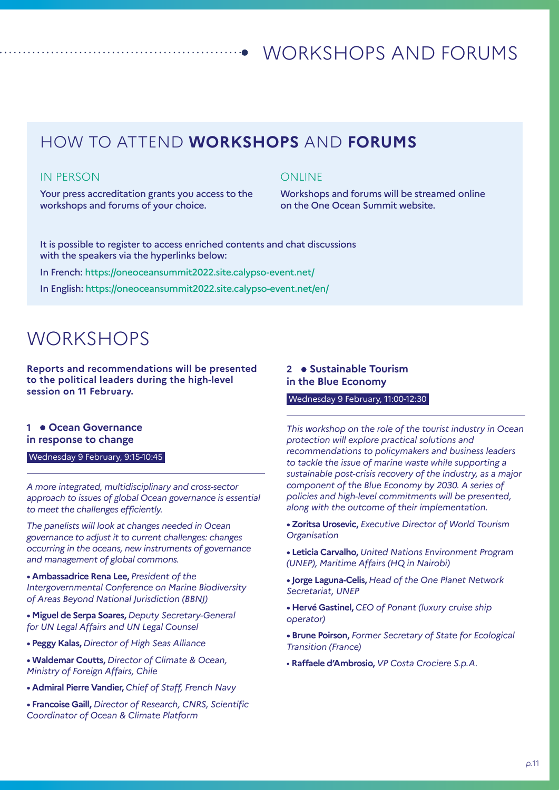### HOW TO ATTEND **WORKSHOPS** AND **FORUMS**

#### IN PERSON

Your press accreditation grants you access to the workshops and forums of your choice.

#### **ONLINE**

Workshops and forums will be streamed online on the One Ocean Summit website.

It is possible to register to access enriched contents and chat discussions with the speakers via the hyperlinks below:

In French: https://oneoceansummit2022.site.calypso-event.net/

In English: https://oneoceansummit2022.site.calypso-event.net/en/

## **WORKSHOPS**

**Reports and recommendations will be presented to the political leaders during the high-level session on 11 February.**

#### 1 **• Ocean Governance in response to change**

Wednesday 9 February, 9:15-10:45

*A more integrated, multidisciplinary and cross-sector approach to issues of global Ocean governance is essential to meet the challenges efficiently.*

*The panelists will look at changes needed in Ocean governance to adjust it to current challenges: changes occurring in the oceans, new instruments of governance and management of global commons.*

**• Ambassadrice Rena Lee,** *President of the Intergovernmental Conference on Marine Biodiversity of Areas Beyond National Jurisdiction (BBNJ)* 

**• Miguel de Serpa Soares,** *Deputy Secretary-General for UN Legal Affairs and UN Legal Counsel* 

- **Peggy Kalas,** *Director of High Seas Alliance*
- **Waldemar Coutts,** *Director of Climate & Ocean, Ministry of Foreign Affairs, Chile*
- **Admiral Pierre Vandier,** *Chief of Staff, French Navy*

**• Francoise Gaill,** *Director of Research, CNRS, Scientific Coordinator of Ocean & Climate Platform*

#### **2 Sustainable Tourism in the Blue Economy**

#### Wednesday 9 February, 11:00-12:30

*This workshop on the role of the tourist industry in Ocean protection will explore practical solutions and recommendations to policymakers and business leaders to tackle the issue of marine waste while supporting a sustainable post-crisis recovery of the industry, as a major component of the Blue Economy by 2030. A series of policies and high-level commitments will be presented, along with the outcome of their implementation.*

**• Zoritsa Urosevic,** *Executive Director of World Tourism Organisation*

**• Leticia Carvalho,** *United Nations Environment Program (UNEP), Maritime Affairs (HQ in Nairobi)*

**• Jorge Laguna-Celis,** *Head of the One Planet Network Secretariat, UNEP*

- **Hervé Gastinel,** *CEO of Ponant (luxury cruise ship operator)*
- **Brune Poirson,** *Former Secretary of State for Ecological Transition (France)*
- *•* **Raffaele d'Ambrosio,** *VP Costa Crociere S.p.A.*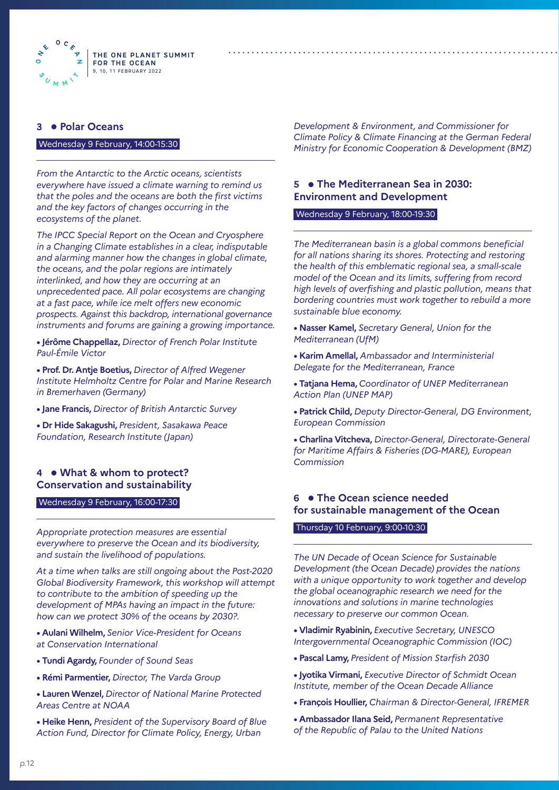

#### **3 Polar Oceans**

#### Wednesday 9 February, 14:00-15:30

*From the Antarctic to the Arctic oceans, scientists everywhere have issued a climate warning to remind us that the poles and the oceans are both the first victims and the key factors of changes occurring in the ecosystems of the planet.* 

*The IPCC Special Report on the Ocean and Cryosphere in a Changing Climate establishes in a clear, indisputable and alarming manner how the changes in global climate, the oceans, and the polar regions are intimately interlinked, and how they are occurring at an unprecedented pace. All polar ecosystems are changing at a fast pace, while ice melt offers new economic prospects. Against this backdrop, international governance instruments and forums are gaining a growing importance.*

**• Jérôme Chappellaz,** *Director of French Polar Institute Paul-Émile Victor*

**• Prof. Dr. Antje Boetius,** *Director of Alfred Wegener Institute Helmholtz Centre for Polar and Marine Research in Bremerhaven (Germany)*

**• Jane Francis,** *Director of British Antarctic Survey*

**• Dr Hide Sakagushi,** *President, Sasakawa Peace Foundation, Research Institute (Japan)*

#### **4 What & whom to protect? Conservation and sustainability**

Wednesday 9 February, 16:00-17:30

*Appropriate protection measures are essential everywhere to preserve the Ocean and its biodiversity, and sustain the livelihood of populations.*

*At a time when talks are still ongoing about the Post-2020 Global Biodiversity Framework, this workshop will attempt to contribute to the ambition of speeding up the development of MPAs having an impact in the future: how can we protect 30% of the oceans by 2030?.*

**• Aulani Wilhelm,** *Senior Vice-President for Oceans at Conservation International*

- **Tundi Agardy,** *Founder of Sound Seas*
- **Rémi Parmentier,** *Director, The Varda Group*
- **Lauren Wenzel,** *Director of National Marine Protected Areas Centre at NOAA*
- **Heike Henn,** *President of the Supervisory Board of Blue Action Fund, Director for Climate Policy, Energy, Urban*

*Development & Environment, and Commissioner for Climate Policy & Climate Financing at the German Federal Ministry for Economic Cooperation & Development (BMZ)* 

#### **5 The Mediterranean Sea in 2030: Environment and Development**

#### Wednesday 9 February, 18:00-19:30

*The Mediterranean basin is a global commons beneficial for all nations sharing its shores. Protecting and restoring the health of this emblematic regional sea, a small-scale model of the Ocean and its limits, suffering from record high levels of overfishing and plastic pollution, means that bordering countries must work together to rebuild a more sustainable blue economy.* 

- **Nasser Kamel,** *Secretary General, Union for the Mediterranean (UfM)*
- **Karim Amellal,** *Ambassador and Interministerial Delegate for the Mediterranean, France*
- **Tatjana Hema,** *Coordinator of UNEP Mediterranean Action Plan (UNEP MAP)*
- **Patrick Child,** *Deputy Director-General, DG Environment, European Commission*

**• Charlina Vitcheva,** *Director-General, Directorate-General for Maritime Affairs & Fisheries (DG-MARE), European Commission*

#### **6 The Ocean science needed for sustainable management of the Ocean**

#### Thursday 10 February, 9:00-10:30

*The UN Decade of Ocean Science for Sustainable Development (the Ocean Decade) provides the nations with a unique opportunity to work together and develop the global oceanographic research we need for the innovations and solutions in marine technologies necessary to preserve our common Ocean.*

**• Vladimir Ryabinin,** *Executive Secretary, UNESCO Intergovernmental Oceanographic Commission (IOC)*

- **Pascal Lamy,** *President of Mission Starfish 2030*
- **Jyotika Virmani,** *Executive Director of Schmidt Ocean Institute, member of the Ocean Decade Alliance*
- **François Houllier,** *Chairman & Director-General, IFREMER*
- **Ambassador Ilana Seid,** *Permanent Representative of the Republic of Palau to the United Nations*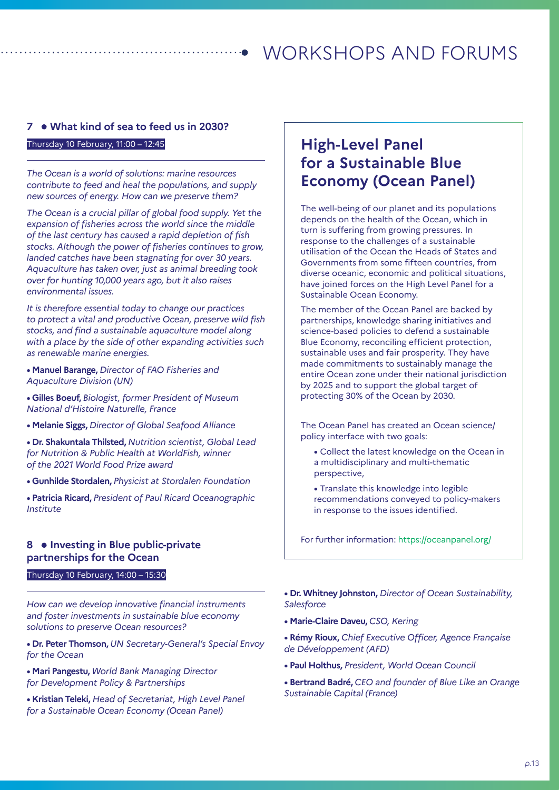#### **7 What kind of sea to feed us in 2030?**

#### Thursday 10 February, 11:00 – 12:45

*The Ocean is a world of solutions: marine resources contribute to feed and heal the populations, and supply new sources of energy. How can we preserve them?*

*The Ocean is a crucial pillar of global food supply. Yet the expansion of fisheries across the world since the middle of the last century has caused a rapid depletion of fish stocks. Although the power of fisheries continues to grow, landed catches have been stagnating for over 30 years. Aquaculture has taken over, just as animal breeding took over for hunting 10,000 years ago, but it also raises environmental issues.*

*It is therefore essential today to change our practices to protect a vital and productive Ocean, preserve wild fish stocks, and find a sustainable aquaculture model along with a place by the side of other expanding activities such as renewable marine energies.*

- **Manuel Barange,** *Director of FAO Fisheries and Aquaculture Division (UN)*
- **Gilles Boeuf,** *Biologist, former President of Museum National d'Histoire Naturelle, France*
- **Melanie Siggs,** *Director of Global Seafood Alliance*

**• Dr. Shakuntala Thilsted,** *Nutrition scientist, Global Lead for Nutrition & Public Health at WorldFish, winner of the 2021 World Food Prize award*

- **Gunhilde Stordalen,** *Physicist at Stordalen Foundation*
- **Patricia Ricard,** *President of Paul Ricard Oceanographic Institute*

#### **8 • Investing in Blue public-private partnerships for the Ocean**

#### Thursday 10 February, 14:00 – 15:30

*How can we develop innovative financial instruments and foster investments in sustainable blue economy solutions to preserve Ocean resources?*

**• Dr. Peter Thomson,** *UN Secretary-General's Special Envoy for the Ocean* 

**• Mari Pangestu,** *World Bank Managing Director for Development Policy & Partnerships*

**• Kristian Teleki,** *Head of Secretariat, High Level Panel for a Sustainable Ocean Economy (Ocean Panel)*

### **High-Level Panel for a Sustainable Blue Economy (Ocean Panel)**

The well-being of our planet and its populations depends on the health of the Ocean, which in turn is suffering from growing pressures. In response to the challenges of a sustainable utilisation of the Ocean the Heads of States and Governments from some fifteen countries, from diverse oceanic, economic and political situations, have joined forces on the High Level Panel for a Sustainable Ocean Economy.

The member of the Ocean Panel are backed by partnerships, knowledge sharing initiatives and science-based policies to defend a sustainable Blue Economy, reconciling efficient protection, sustainable uses and fair prosperity. They have made commitments to sustainably manage the entire Ocean zone under their national jurisdiction by 2025 and to support the global target of protecting 30% of the Ocean by 2030.

The Ocean Panel has created an Ocean science/ policy interface with two goals:

- Collect the latest knowledge on the Ocean in a multidisciplinary and multi-thematic perspective,
- Translate this knowledge into legible recommendations conveyed to policy-makers in response to the issues identified.

For further information: https://oceanpanel.org/

**• Dr. Whitney Johnston,** *Director of Ocean Sustainability, Salesforce*

- **Marie-Claire Daveu,** *CSO, Kering*
- **Rémy Rioux,** *Chief Executive Officer, Agence Française de Développement (AFD)*
- **Paul Holthus,** *President, World Ocean Council*
- **Bertrand Badré,** *CEO and founder of Blue Like an Orange Sustainable Capital (France)*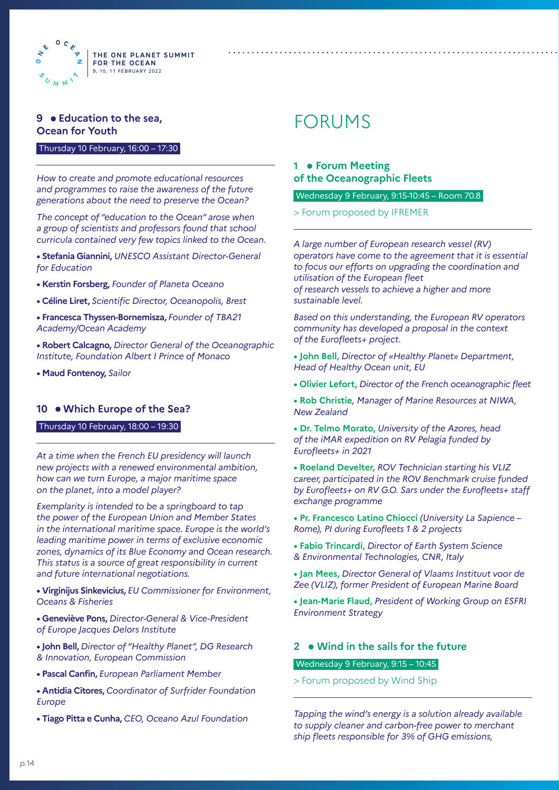

#### **9 Education to the sea, Ocean for Youth**

#### Thursday 10 February, 16:00 – 17:30

*How to create and promote educational resources and programmes to raise the awareness of the future generations about the need to preserve the Ocean?*

*The concept of "education to the Ocean" arose when a group of scientists and professors found that school curricula contained very few topics linked to the Ocean.* 

- **Stefania Giannini,** *UNESCO Assistant Director-General for Education*
- **Kerstin Forsberg,** *Founder of Planeta Oceano*
- **Céline Liret,** *Scientific Director, Oceanopolis, Brest*
- **Francesca Thyssen-Bornemisza,** *Founder of TBA21 Academy/Ocean Academy*
- **Robert Calcagno,** *Director General of the Oceanographic Institute, Foundation Albert I Prince of Monaco*
- **Maud Fontenoy,** *Sailor*

#### **10 Which Europe of the Sea?**

#### Thursday 10 February, 18:00 – 19:30

*At a time when the French EU presidency will launch new projects with a renewed environmental ambition, how can we turn Europe, a major maritime space on the planet, into a model player?*

*Exemplarity is intended to be a springboard to tap the power of the European Union and Member States in the international maritime space. Europe is the world's leading maritime power in terms of exclusive economic zones, dynamics of its Blue Economy and Ocean research. This status is a source of great responsibility in current and future international negotiations.*

**• Virginijus Sinkevicius,** *EU Commissioner for Environment, Oceans & Fisheries*

- **Geneviève Pons,** *Director-General & Vice-President of Europe Jacques Delors Institute*
- **John Bell,** *Director of "Healthy Planet", DG Research & Innovation, European Commission*
- **Pascal Canfin,** *European Parliament Member*
- **Antidia Citores,** *Coordinator of Surfrider Foundation Europe*
- **Tiago Pitta e Cunha,** *CEO, Oceano Azul Foundation*

# FORUMS

#### 1 • Forum Meeting **of the Oceanographic Fleets**

#### Wednesday 9 February, 9:15-10:45 – Room 70.8

> Forum proposed by IFREMER

*A large number of European research vessel (RV) operators have come to the agreement that it is essential to focus our efforts on upgrading the coordination and utilisation of the European fleet of research vessels to achieve a higher and more sustainable level.*

*Based on this understanding, the European RV operators community has developed a proposal in the context of the Eurofleets+ project.*

- **John Bell,** *Director of «Healthy Planet» Department, Head of Healthy Ocean unit, EU*
- **Olivier Lefort,** *Director of the French oceanographic fleet*
- **Rob Christie***, Manager of Marine Resources at NIWA, New Zealand*
- **Dr. Telmo Morato,** *University of the Azores, head of the iMAR expedition on RV Pelagia funded by Eurofleets+ in 2021*
- **Roeland Develter,** *ROV Technician starting his VLIZ career, participated in the ROV Benchmark cruise funded by Eurofleets+ on RV G.O. Sars under the Eurofleets+ staff exchange programme*
- **Pr. Francesco Latino Chiocci** *(University La Sapience Rome), PI during Eurofleets 1 & 2 projects*
- **Fabio Trincardi,** *Director of Earth System Science & Environmental Technologies, CNR, Italy*
- **Jan Mees,** *Director General of Vlaams Instituut voor de Zee (VLIZ), former President of European Marine Board*
- **Jean-Marie Flaud,** *President of Working Group on ESFRI Environment Strategy*

### **2 Wind in the sails for the future**

#### Wednesday 9 February, 9:15 – 10:45

> Forum proposed by Wind Ship

*Tapping the wind's energy is a solution already available to supply cleaner and carbon-free power to merchant ship fleets responsible for 3% of GHG emissions,*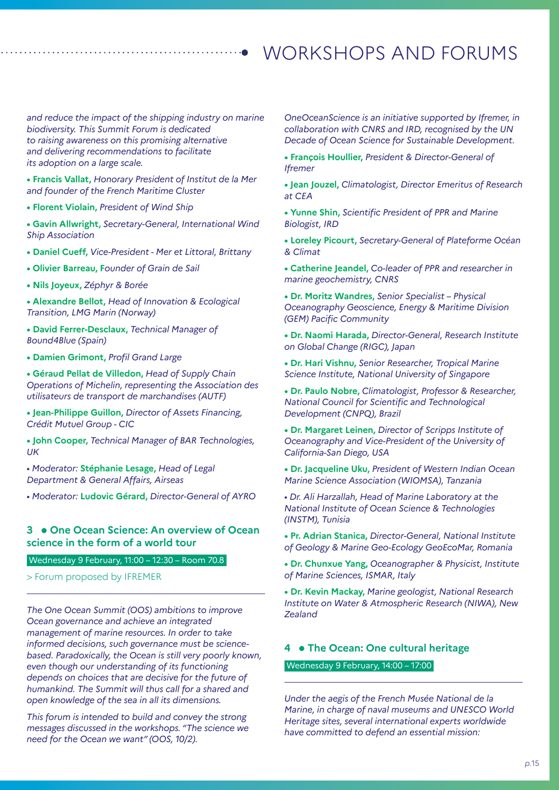*and reduce the impact of the shipping industry on marine biodiversity. This Summit Forum is dedicated to raising awareness on this promising alternative and delivering recommendations to facilitate its adoption on a large scale.*

**• Francis Vallat,** *Honorary President of Institut de la Mer and founder of the French Maritime Cluster*

**• Florent Violain,** *President of Wind Ship*

**• Gavin Allwright,** *Secretary-General, International Wind Ship Association*

**• Daniel Cueff,** *Vice-President - Mer et Littoral, Brittany*

**• Olivier Barreau, F***ounder of Grain de Sail*

**• Nils Joyeux,** *Zéphyr & Borée*

**• Alexandre Bellot,** *Head of Innovation & Ecological Transition, LMG Marin (Norway)*

**• David Ferrer-Desclaux,** *Technical Manager of Bound4Blue (Spain)*

**• Damien Grimont,** *Profil Grand Large*

**• Géraud Pellat de Villedon,** *Head of Supply Chain Operations of Michelin, representing the Association des utilisateurs de transport de marchandises (AUTF)*

**• Jean-Philippe Guillon,** *Director of Assets Financing, Crédit Mutuel Group - CIC*

**• John Cooper,** *Technical Manager of BAR Technologies, UK*

*• Moderator:* **Stéphanie Lesage,** *Head of Legal Department & General Affairs, Airseas*

*• Moderator:* **Ludovic Gérard,** *Director-General of AYRO*

#### **3 One Ocean Science: An overview of Ocean science in the form of a world tour**

Wednesday 9 February, 11:00 – 12:30 – Room 70.8

> Forum proposed by IFREMER

*The One Ocean Summit (OOS) ambitions to improve Ocean governance and achieve an integrated management of marine resources. In order to take informed decisions, such governance must be sciencebased. Paradoxically, the Ocean is still very poorly known, even though our understanding of its functioning depends on choices that are decisive for the future of humankind. The Summit will thus call for a shared and open knowledge of the sea in all its dimensions.* 

*This forum is intended to build and convey the strong messages discussed in the workshops. "The science we need for the Ocean we want" (OOS, 10/2).* 

*OneOceanScience is an initiative supported by Ifremer, in collaboration with CNRS and IRD, recognised by the UN Decade of Ocean Science for Sustainable Development.*

**• François Houllier,** *President & Director-General of Ifremer*

**• Jean Jouzel,** *Climatologist, Director Emeritus of Research at CEA*

**• Yunne Shin,** *Scientific President of PPR and Marine Biologist, IRD*

**• Loreley Picourt,** *Secretary-General of Plateforme Océan & Climat*

**• Catherine Jeandel,** *Co-leader of PPR and researcher in marine geochemistry, CNRS*

**• Dr. Moritz Wandres,** *Senior Specialist – Physical Oceanography Geoscience, Energy & Maritime Division (GEM) Pacific Community*

**• Dr. Naomi Harada,** *Director-General, Research Institute on Global Change (RIGC), Japan*

**• Dr. Hari Vishnu,** *Senior Researcher, Tropical Marine Science Institute, National University of Singapore*

**• Dr. Paulo Nobre,** *Climatologist, Professor & Researcher, National Council for Scientific and Technological Development (CNPQ), Brazil*

**• Dr. Margaret Leinen,** *Director of Scripps Institute of Oceanography and Vice-President of the University of California-San Diego, USA*

**• Dr. Jacqueline Uku,** *President of Western Indian Ocean Marine Science Association (WIOMSA), Tanzania*

*• Dr. Ali Harzallah, Head of Marine Laboratory at the National Institute of Ocean Science & Technologies (INSTM), Tunisia*

**• Pr. Adrian Stanica,** *Director-General, National Institute of Geology & Marine Geo-Ecology GeoEcoMar, Romania*

**• Dr. Chunxue Yang,** *Oceanographer & Physicist, Institute of Marine Sciences, ISMAR, Italy*

**• Dr. Kevin Mackay,** *Marine geologist, National Research Institute on Water & Atmospheric Research (NIWA), New Zealand*

#### **4 The Ocean: One cultural heritage**

Wednesday 9 February, 14:00 – 17:00

*Under the aegis of the French Musée National de la Marine, in charge of naval museums and UNESCO World Heritage sites, several international experts worldwide have committed to defend an essential mission:*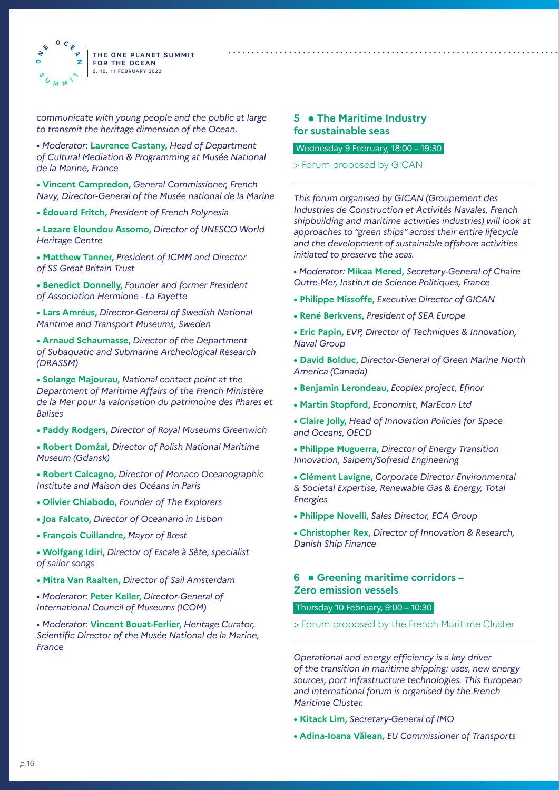

*communicate with young people and the public at large to transmit the heritage dimension of the Ocean.*

*• Moderator:* **Laurence Castany,** *Head of Department of Cultural Mediation & Programming at Musée National de la Marine, France* 

**• Vincent Campredon,** *General Commissioner, French Navy, Director-General of the Musée national de la Marine*

**• Édouard Fritch,** *President of French Polynesia*

**• Lazare Eloundou Assomo,** *Director of UNESCO World Heritage Centre*

**• Matthew Tanner,** *President of ICMM and Director of SS Great Britain Trust*

**• Benedict Donnelly,** *Founder and former President of Association Hermione - La Fayette*

**• Lars Amréus,** *Director-General of Swedish National Maritime and Transport Museums, Sweden*

**• Arnaud Schaumasse,** *Director of the Department of Subaquatic and Submarine Archeological Research (DRASSM)*

**• Solange Majourau,** *National contact point at the Department of Maritime Affairs of the French Ministère de la Mer pour la valorisation du patrimoine des Phares et Balises* 

**• Paddy Rodgers,** *Director of Royal Museums Greenwich*

**• Robert Domżał,** *Director of Polish National Maritime Museum (Gdansk)*

**• Robert Calcagno,** *Director of Monaco Oceanographic Institute and Maison des Océans in Paris*

- **Olivier Chiabodo,** *Founder of The Explorers*
- **Joa Falcato,** *Director of Oceanario in Lisbon*
- **François Cuillandre,** *Mayor of Brest*
- **Wolfgang Idiri,** *Director of Escale à Sète, specialist of sailor songs*
- **Mitra Van Raalten,** *Director of Sail Amsterdam*
- *Moderator:* **Peter Keller,** *Director-General of International Council of Museums (ICOM)*

*• Moderator:* **Vincent Bouat-Ferlier,** *Heritage Curator, Scientific Director of the Musée National de la Marine, France*

#### **5 • The Maritime Industry for sustainable seas**

#### Wednesday 9 February, 18:00 – 19:30

#### > Forum proposed by GICAN

*This forum organised by GICAN (Groupement des Industries de Construction et Activités Navales, French shipbuilding and maritime activities industries) will look at approaches to "green ships" across their entire lifecycle and the development of sustainable offshore activities initiated to preserve the seas.*

*• Moderator:* **Mikaa Mered,** *Secretary-General of Chaire Outre-Mer, Institut de Science Politiques, France*

- **Philippe Missoffe,** *Executive Director of GICAN*
- **René Berkvens,** *President of SEA Europe*

**• Eric Papin,** *EVP, Director of Techniques & Innovation, Naval Group*

**• David Bolduc,** *Director-General of Green Marine North America (Canada)*

- **Benjamin Lerondeau,** *Ecoplex project, Efinor*
- **Martin Stopford,** *Economist, MarEcon Ltd*
- **Claire Jolly,** *Head of Innovation Policies for Space and Oceans, OECD*
- **Philippe Muguerra,** *Director of Energy Transition Innovation, Saipem/Sofresid Engineering*

**• Clément Lavigne,** *Corporate Director Environmental & Societal Expertise, Renewable Gas & Energy, Total Energies*

- **Philippe Novelli,** *Sales Director, ECA Group*
- **Christopher Rex,** *Director of Innovation & Research, Danish Ship Finance*

#### **6 Greening maritime corridors – Zero emission vessels**

#### Thursday 10 February, 9:00 – 10:30

> Forum proposed by the French Maritime Cluster

*Operational and energy efficiency is a key driver of the transition in maritime shipping: uses, new energy sources, port infrastructure technologies. This European and international forum is organised by the French Maritime Cluster.*

- **Kitack Lim,** *Secretary-General of IMO*
- **Adina-Ioana Vălean,** *EU Commissioner of Transports*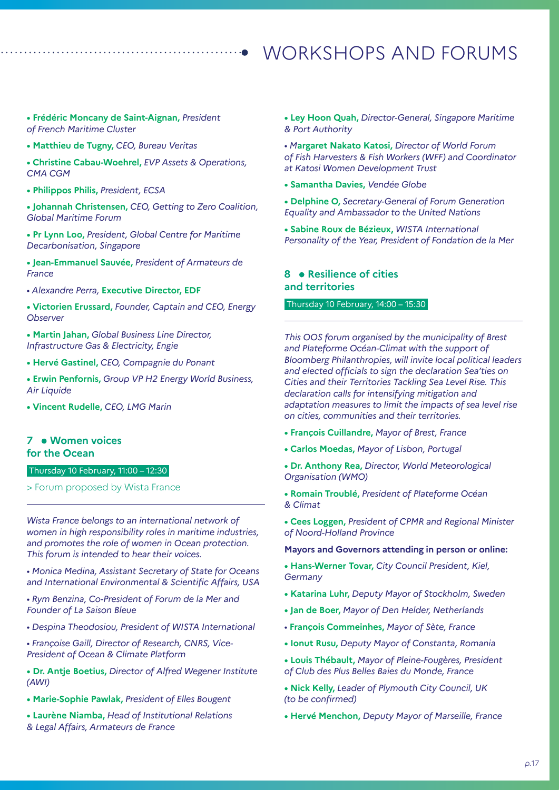**• Frédéric Moncany de Saint-Aignan,** *President of French Maritime Cluster*

- **Matthieu de Tugny,** *CEO, Bureau Veritas*
- **Christine Cabau-Woehrel,** *EVP Assets & Operations, CMA CGM*
- **Philippos Philis,** *President, ECSA*

**• Johannah Christensen,** *CEO, Getting to Zero Coalition, Global Maritime Forum*

**• Pr Lynn Loo,** *President, Global Centre for Maritime Decarbonisation, Singapore*

**• Jean-Emmanuel Sauvée,** *President of Armateurs de France*

*• Alexandre Perra,* **Executive Director, EDF**

**• Victorien Erussard,** *Founder, Captain and CEO, Energy Observer*

**• Martin Jahan,** *Global Business Line Director, Infrastructure Gas & Electricity, Engie*

- **Hervé Gastinel,** *CEO, Compagnie du Ponant*
- **Erwin Penfornis,** *Group VP H2 Energy World Business, Air Liquide*
- **Vincent Rudelle,** *CEO, LMG Marin*

#### **7 Women voices for the Ocean**

Thursday 10 February, 11:00 – 12:30

> Forum proposed by Wista France

*Wista France belongs to an international network of women in high responsibility roles in maritime industries, and promotes the role of women in Ocean protection. This forum is intended to hear their voices.*

*• Monica Medina, Assistant Secretary of State for Oceans and International Environmental & Scientific Affairs, USA*

*• Rym Benzina, Co-President of Forum de la Mer and Founder of La Saison Bleue*

*• Despina Theodosiou, President of WISTA International*

*• Françoise Gaill, Director of Research, CNRS, Vice-President of Ocean & Climate Platform*

**• Dr. Antje Boetius,** *Director of Alfred Wegener Institute (AWI)* 

**• Marie-Sophie Pawlak,** *President of Elles Bougent* 

**• Laurène Niamba,** *Head of Institutional Relations & Legal Affairs, Armateurs de France* 

**• Ley Hoon Quah,** *Director-General, Singapore Maritime & Port Authority* 

*• M***argaret Nakato Katosi,** *Director of World Forum of Fish Harvesters & Fish Workers (WFF) and Coordinator at Katosi Women Development Trust*

- **Samantha Davies,** *Vendée Globe*
- **Delphine O,** *Secretary-General of Forum Generation Equality and Ambassador to the United Nations*

**• Sabine Roux de Bézieux,** *WISTA International Personality of the Year, President of Fondation de la Mer*

#### **8 Resilience of cities and territories**

#### Thursday 10 February, 14:00 – 15:30

*This OOS forum organised by the municipality of Brest and Plateforme Océan-Climat with the support of Bloomberg Philanthropies, will invite local political leaders and elected officials to sign the declaration Sea'ties on Cities and their Territories Tackling Sea Level Rise. This declaration calls for intensifying mitigation and adaptation measures to limit the impacts of sea level rise on cities, communities and their territories.*

- **François Cuillandre,** *Mayor of Brest, France*
- **Carlos Moedas,** *Mayor of Lisbon, Portugal*
- **Dr. Anthony Rea,** *Director, World Meteorological Organisation (WMO)*
- **Romain Troublé,** *President of Plateforme Océan & Climat*
- **Cees Loggen,** *President of CPMR and Regional Minister of Noord-Holland Province*

#### **Mayors and Governors attending in person or online:**

- **Hans-Werner Tovar,** *City Council President, Kiel, Germany*
- **Katarina Luhr,** *Deputy Mayor of Stockholm, Sweden*
- **Jan de Boer,** *Mayor of Den Helder, Netherlands*
- *•* **François Commeinhes,** *Mayor of Sète, France*
- **Ionut Rusu,** *Deputy Mayor of Constanta, Romania*
- **Louis Thébault,** *Mayor of Pleine-Fougères, President of Club des Plus Belles Baies du Monde, France*
- **Nick Kelly,** *Leader of Plymouth City Council, UK (to be confirmed)*
- **Hervé Menchon,** *Deputy Mayor of Marseille, France*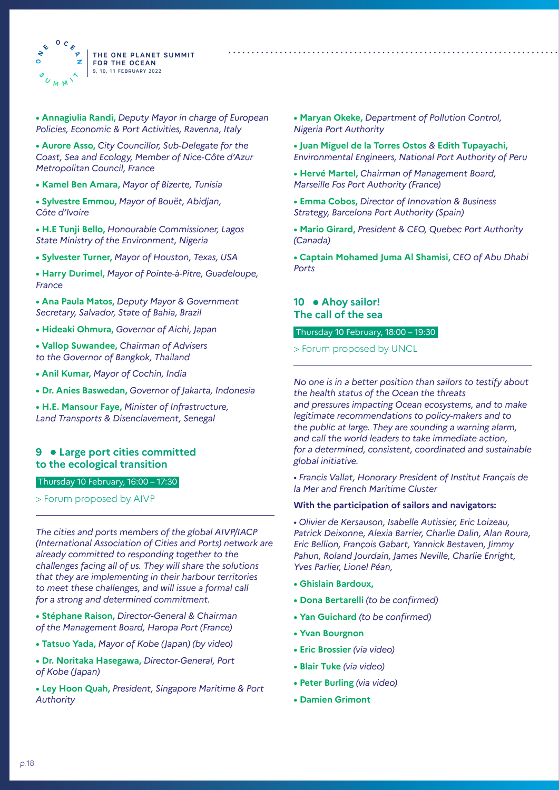

**• Annagiulia Randi,** *Deputy Mayor in charge of European Policies, Economic & Port Activities, Ravenna, Italy*

**• Aurore Asso,** *City Councillor, Sub-Delegate for the Coast, Sea and Ecology, Member of Nice-Côte d'Azur Metropolitan Council, France*

- **Kamel Ben Amara,** *Mayor of Bizerte, Tunisia*
- **Sylvestre Emmou,** *Mayor of Bouët, Abidjan, Côte d'Ivoire*

**• H.E Tunji Bello,** *Honourable Commissioner, Lagos State Ministry of the Environment, Nigeria*

- **Sylvester Turner,** *Mayor of Houston, Texas, USA*
- **Harry Durimel,** *Mayor of Pointe-à-Pitre, Guadeloupe, France*

**• Ana Paula Matos,** *Deputy Mayor & Government Secretary, Salvador, State of Bahia, Brazil*

**• Hideaki Ohmura,** *Governor of Aichi, Japan*

- **Vallop Suwandee,** *Chairman of Advisers to the Governor of Bangkok, Thailand*
- **Anil Kumar,** *Mayor of Cochin, India*
- **Dr. Anies Baswedan,** *Governor of Jakarta, Indonesia*

**• H.E. Mansour Faye,** *Minister of Infrastructure, Land Transports & Disenclavement, Senegal*

#### **9 Large port cities committed to the ecological transition**

Thursday 10 February, 16:00 – 17:30

> Forum proposed by AIVP

*The cities and ports members of the global AIVP/IACP (International Association of Cities and Ports) network are already committed to responding together to the challenges facing all of us. They will share the solutions that they are implementing in their harbour territories to meet these challenges, and will issue a formal call for a strong and determined commitment.*

**• Stéphane Raison,** *Director-General & Chairman of the Management Board, Haropa Port (France)*

- **Tatsuo Yada,** *Mayor of Kobe (Japan) (by video)*
- **Dr. Noritaka Hasegawa,** *Director-General, Port of Kobe (Japan)*
- **Ley Hoon Quah,** *President, Singapore Maritime & Port Authority*
- **Maryan Okeke,** *Department of Pollution Control, Nigeria Port Authority*
- **Juan Miguel de la Torres Ostos** *&* **Edith Tupayachi,**  *Environmental Engineers, National Port Authority of Peru*
- **Hervé Martel,** *Chairman of Management Board, Marseille Fos Port Authority (France)*
- **Emma Cobos,** *Director of Innovation & Business Strategy, Barcelona Port Authority (Spain)*
- **Mario Girard,** *President & CEO, Quebec Port Authority (Canada)*
- **Captain Mohamed Juma Al Shamisi,** *CEO of Abu Dhabi Ports*

#### 10 • Ahoy sailor! **The call of the sea**

#### Thursday 10 February, 18:00 – 19:30

> Forum proposed by UNCL

*No one is in a better position than sailors to testify about the health status of the Ocean the threats and pressures impacting Ocean ecosystems, and to make legitimate recommendations to policy-makers and to the public at large. They are sounding a warning alarm, and call the world leaders to take immediate action, for a determined, consistent, coordinated and sustainable* 

*• Francis Vallat, Honorary President of Institut Français de la Mer and French Maritime Cluster*

#### **With the participation of sailors and navigators:**

*• Olivier de Kersauson, Isabelle Autissier, Eric Loizeau, Patrick Deixonne, Alexia Barrier, Charlie Dalin, Alan Roura, Eric Bellion, François Gabart, Yannick Bestaven, Jimmy Pahun, Roland Jourdain, James Neville, Charlie Enright, Yves Parlier, Lionel Péan,* 

**• Ghislain Bardoux,**

*global initiative.*

- **Dona Bertarelli** *(to be confirmed)*
- **Yan Guichard** *(to be confirmed)*
- **Yvan Bourgnon**
- **Eric Brossier** *(via video)*
- **Blair Tuke** *(via video)*
- **Peter Burling** *(via video)*
- **Damien Grimont**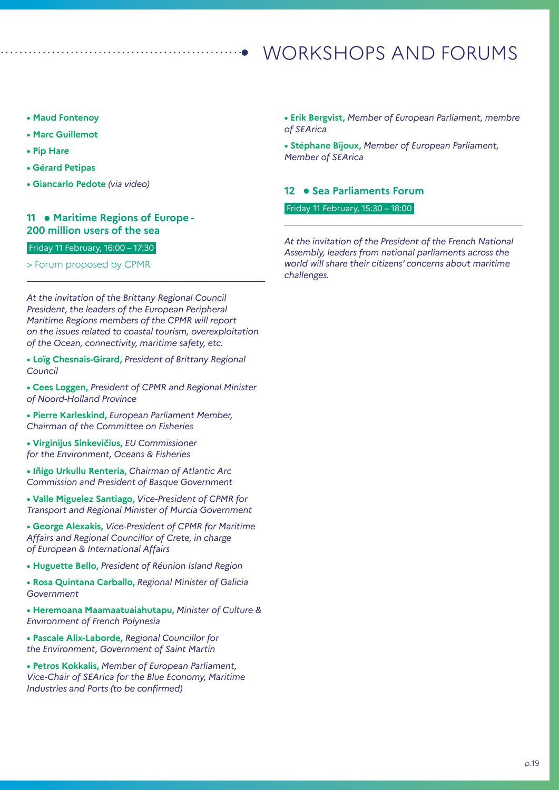- **Maud Fontenoy**
- **Marc Guillemot**
- **Pip Hare**
- **Gérard Petipas**
- **Giancarlo Pedote** *(via video)*

#### **11 • Maritime Regions of Europe -200 million users of the sea**

#### Friday 11 February, 16:00 – 17:30

#### > Forum proposed by CPMR

*At the invitation of the Brittany Regional Council President, the leaders of the European Peripheral Maritime Regions members of the CPMR will report on the issues related to coastal tourism, overexploitation of the Ocean, connectivity, maritime safety, etc.*

**• Loïg Chesnais-Girard,** *President of Brittany Regional Council*

**• Cees Loggen,** *President of CPMR and Regional Minister of Noord-Holland Province*

**• Pierre Karleskind,** *European Parliament Member, Chairman of the Committee on Fisheries* 

**• Virginijus Sinkevičius,** *EU Commissioner for the Environment, Oceans & Fisheries*

**• Iñigo Urkullu Renteria,** *Chairman of Atlantic Arc Commission and President of Basque Government*

**• Valle Miguelez Santiago,** *Vice-President of CPMR for Transport and Regional Minister of Murcia Government*

**• George Alexakis,** *Vice-President of CPMR for Maritime Affairs and Regional Councillor of Crete, in charge of European & International Affairs*

**• Huguette Bello,** *President of Réunion Island Region*

**• Rosa Quintana Carballo,** *Regional Minister of Galicia Government*

**• Heremoana Maamaatuaiahutapu,** *Minister of Culture & Environment of French Polynesia*

**• Pascale Alix-Laborde,** *Regional Councillor for the Environment, Government of Saint Martin*

**• Petros Kokkalis,** *Member of European Parliament, Vice-Chair of SEArica for the Blue Economy, Maritime Industries and Ports (to be confirmed)*

**• Erik Bergvist,** *Member of European Parliament, membre of SEArica*

**• Stéphane Bijoux,** *Member of European Parliament, Member of SEArica* 

#### 12 • Sea Parliaments Forum

Friday 11 February, 15:30 – 18:00

*At the invitation of the President of the French National Assembly, leaders from national parliaments across the world will share their citizens' concerns about maritime challenges.*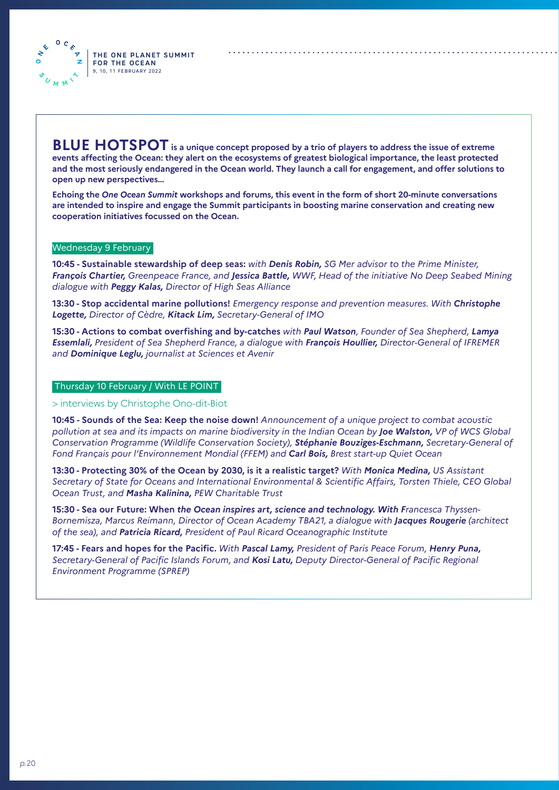**BLUE HOTSPOT is a unique concept proposed by a trio of players to address the issue of extreme events affecting the Ocean: they alert on the ecosystems of greatest biological importance, the least protected and the most seriously endangered in the Ocean world. They launch a call for engagement, and offer solutions to open up new perspectives…**

**Echoing the** *One Ocean Summit* **workshops and forums, this event in the form of short 20-minute conversations are intended to inspire and engage the Summit participants in boosting marine conservation and creating new cooperation initiatives focussed on the Ocean.** 

#### Wednesday 9 February

 $0<sub>c</sub>$  $\frac{1}{\sqrt{2}}$  $\mathbf{z}$ 

 $U_{M,M}$ 

**10:45 - Sustainable stewardship of deep seas:** *with Denis Robin, SG Mer advisor to the Prime Minister, François Chartier, Greenpeace France, and Jessica Battle, WWF, Head of the initiative No Deep Seabed Mining dialogue with Peggy Kalas, Director of High Seas Alliance*

**13:30 - Stop accidental marine pollutions!** *Emergency response and prevention measures. With Christophe Logette, Director of Cèdre, Kitack Lim, Secretary-General of IMO* 

**15:30 - Actions to combat overfishing and by-catches** *with Paul Watson, Founder of Sea Shepherd, Lamya Essemlali, President of Sea Shepherd France, a dialogue with François Houllier, Director-General of IFREMER and Dominique Leglu, journalist at Sciences et Avenir*

#### Thursday 10 February / With LE POINT

> interviews by Christophe Ono-dit-Biot

**10:45 - Sounds of the Sea: Keep the noise down!** *Announcement of a unique project to combat acoustic pollution at sea and its impacts on marine biodiversity in the Indian Ocean by Joe Walston, VP of WCS Global Conservation Programme (Wildlife Conservation Society), Stéphanie Bouziges-Eschmann, Secretary-General of Fond Français pour l'Environnement Mondial (FFEM) and Carl Bois, Brest start-up Quiet Ocean*

**13:30 - Protecting 30% of the Ocean by 2030, is it a realistic target?** *With Monica Medina, US Assistant Secretary of State for Oceans and International Environmental & Scientific Affairs, Torsten Thiele, CEO Global Ocean Trust, and Masha Kalinina, PEW Charitable Trust* 

**15:30 - Sea our Future: When** *the Ocean inspires art, science and technology. With Francesca Thyssen-Bornemisza, Marcus Reimann, Director of Ocean Academy TBA21, a dialogue with Jacques Rougerie (architect of the sea), and Patricia Ricard, President of Paul Ricard Oceanographic Institute*

**17:45 - Fears and hopes for the Pacific.** *With Pascal Lamy, President of Paris Peace Forum, Henry Puna, Secretary-General of Pacific Islands Forum, and Kosi Latu, Deputy Director-General of Pacific Regional Environment Programme (SPREP)*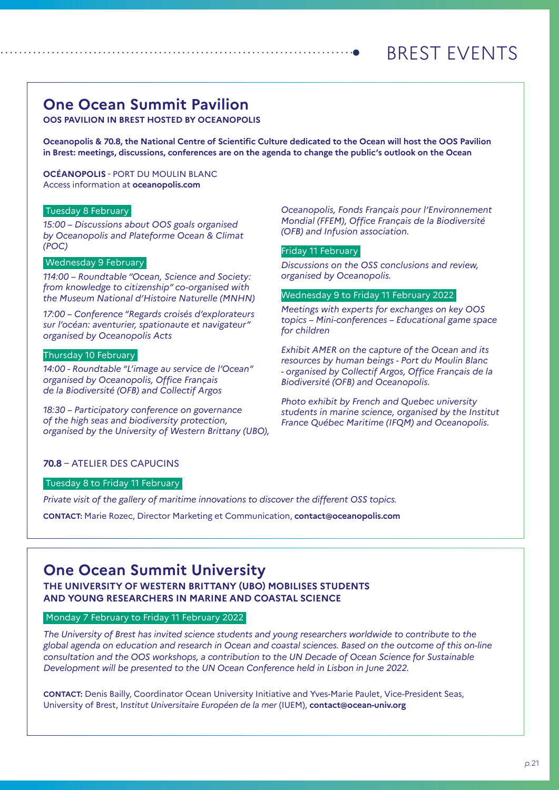# BREST EVENTS

### **One Ocean Summit Pavilion**

**OOS PAVILION IN BREST HOSTED BY OCEANOPOLIS**

**Oceanopolis & 70.8, the National Centre of Scientific Culture dedicated to the Ocean will host the OOS Pavilion in Brest: meetings, discussions, conferences are on the agenda to change the public's outlook on the Ocean**

**OCÉANOPOLIS** - PORT DU MOULIN BLANC Access information at **oceanopolis.com**

#### Tuesday 8 February

*15:00 – Discussions about OOS goals organised by Oceanopolis and Plateforme Ocean & Climat (POC)*

#### Wednesday 9 February

*114:00 – Roundtable "Ocean, Science and Society: from knowledge to citizenship" co-organised with the Museum National d'Histoire Naturelle (MNHN)*

*17:00 – Conference "Regards croisés d'explorateurs sur l'océan: aventurier, spationaute et navigateur" organised by Oceanopolis Acts*

#### Thursday 10 February

*14:00 - Roundtable "L'image au service de l'Ocean" organised by Oceanopolis, Office Français de la Biodiversité (OFB) and Collectif Argos*

*18:30 – Participatory conference on governance of the high seas and biodiversity protection, organised by the University of Western Brittany (UBO),*  *Oceanopolis, Fonds Français pour l'Environnement Mondial (FFEM), Office Français de la Biodiversité (OFB) and Infusion association.*

#### Friday 11 February

*Discussions on the OSS conclusions and review, organised by Oceanopolis.*

#### Wednesday 9 to Friday 11 February 2022

*Meetings with experts for exchanges on key OOS topics – Mini-conferences – Educational game space for children*

*Exhibit AMER on the capture of the Ocean and its resources by human beings - Port du Moulin Blanc - organised by Collectif Argos, Office Français de la Biodiversité (OFB) and Oceanopolis.*

*Photo exhibit by French and Quebec university students in marine science, organised by the Institut France Québec Maritime (IFQM) and Oceanopolis.*

#### **70.8** – ATELIER DES CAPUCINS

#### Tuesday 8 to Friday 11 February

*Private visit of the gallery of maritime innovations to discover the different OSS topics.* 

**CONTACT:** Marie Rozec, Director Marketing et Communication, **contact@oceanopolis.com**

### **One Ocean Summit University**

**THE UNIVERSITY OF WESTERN BRITTANY (UBO) MOBILISES STUDENTS AND YOUNG RESEARCHERS IN MARINE AND COASTAL SCIENCE**

#### Monday 7 February to Friday 11 February 2022

*The University of Brest has invited science students and young researchers worldwide to contribute to the global agenda on education and research in Ocean and coastal sciences. Based on the outcome of this on-line consultation and the OOS workshops, a contribution to the UN Decade of Ocean Science for Sustainable Development will be presented to the UN Ocean Conference held in Lisbon in June 2022.*

**CONTACT:** Denis Bailly, Coordinator Ocean University Initiative and Yves-Marie Paulet, Vice-President Seas, University of Brest, I*nstitut Universitaire Européen de la mer* (IUEM), **contact@ocean-univ.org**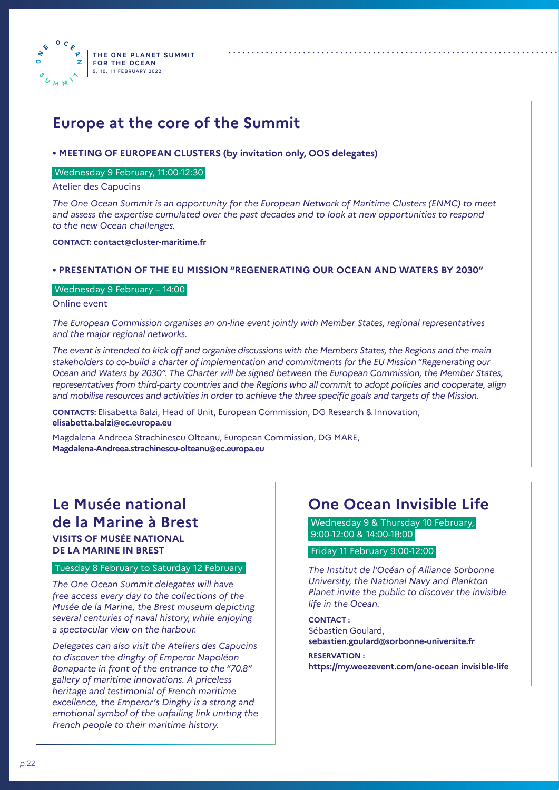

### **Europe at the core of the Summit**

#### **• MEETING OF EUROPEAN CLUSTERS (by invitation only, OOS delegates)**

#### Wednesday 9 February, 11:00-12:30

Atelier des Capucins

*The One Ocean Summit is an opportunity for the European Network of Maritime Clusters (ENMC) to meet and assess the expertise cumulated over the past decades and to look at new opportunities to respond to the new Ocean challenges.*

**CONTACT: contact@cluster-maritime.fr**

#### **• PRESENTATION OF THE EU MISSION "REGENERATING OUR OCEAN AND WATERS BY 2030"**

#### Wednesday 9 February – 14:00

Online event

*The European Commission organises an on-line event jointly with Member States, regional representatives and the major regional networks.*

*The event is intended to kick off and organise discussions with the Members States, the Regions and the main stakeholders to co-build a charter of implementation and commitments for the EU Mission "Regenerating our Ocean and Waters by 2030". The Charter will be signed between the European Commission, the Member States, representatives from third-party countries and the Regions who all commit to adopt policies and cooperate, align and mobilise resources and activities in order to achieve the three specific goals and targets of the Mission.*

**CONTACTS:** Elisabetta Balzi, Head of Unit, European Commission, DG Research & Innovation, **elisabetta.balzi@ec.europa.eu**

Magdalena Andreea Strachinescu Olteanu, European Commission, DG MARE, **Magdalena-Andreea.strachinescu-olteanu@ec.europa.eu** 

### **Le Musée national de la Marine à Brest VISITS OF MUSÉE NATIONAL DE LA MARINE IN BREST**

#### Tuesday 8 February to Saturday 12 February

*The One Ocean Summit delegates will have free access every day to the collections of the Musée de la Marine, the Brest museum depicting several centuries of naval history, while enjoying a spectacular view on the harbour.*

*Delegates can also visit the Ateliers des Capucins to discover the dinghy of Emperor Napoléon Bonaparte in front of the entrance to the "70.8" gallery of maritime innovations. A priceless heritage and testimonial of French maritime excellence, the Emperor's Dinghy is a strong and emotional symbol of the unfailing link uniting the French people to their maritime history.*

### **One Ocean Invisible Life**

Wednesday 9 & Thursday 10 February, 9:00-12:00 & 14:00-18:00

#### Friday 11 February 9:00-12:00

*The Institut de l'Océan of Alliance Sorbonne University, the National Navy and Plankton Planet invite the public to discover the invisible life in the Ocean.*

**CONTACT :**  Sébastien Goulard, **sebastien.goulard@sorbonne-universite.fr RESERVATION :** 

**https://my.weezevent.com/one-ocean invisible-life**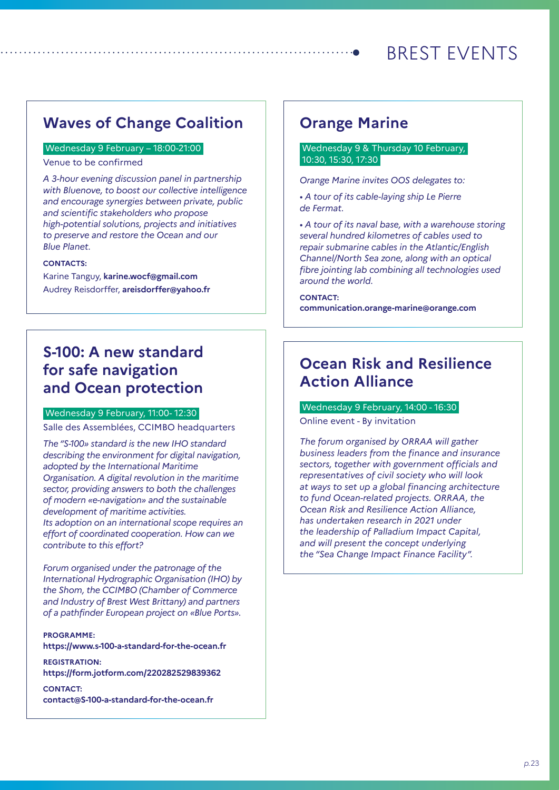# BREST EVENTS

### **Waves of Change Coalition**

#### Wednesday 9 February – 18:00-21:00

Venue to be confirmed

*A 3-hour evening discussion panel in partnership with Bluenove, to boost our collective intelligence and encourage synergies between private, public and scientific stakeholders who propose high-potential solutions, projects and initiatives to preserve and restore the Ocean and our Blue Planet.*

#### **CONTACTS:**

Karine Tanguy, **karine.wocf@gmail.com** Audrey Reisdorffer, **areisdorffer@yahoo.fr**

### **S-100: A new standard for safe navigation and Ocean protection**

#### Wednesday 9 February, 11:00- 12:30

Salle des Assemblées, CCIMBO headquarters

*The "S-100» standard is the new IHO standard describing the environment for digital navigation, adopted by the International Maritime Organisation. A digital revolution in the maritime sector, providing answers to both the challenges of modern «e-navigation» and the sustainable development of maritime activities. Its adoption on an international scope requires an effort of coordinated cooperation. How can we contribute to this effort?*

*Forum organised under the patronage of the International Hydrographic Organisation (IHO) by the Shom, the CCIMBO (Chamber of Commerce and Industry of Brest West Brittany) and partners of a pathfinder European project on «Blue Ports».*

**PROGRAMME: https://www.s-100-a-standard-for-the-ocean.fr**

**REGISTRATION: https://form.jotform.com/220282529839362**

**CONTACT: contact@S-100-a-standard-for-the-ocean.fr**

### **Orange Marine**

#### Wednesday 9 & Thursday 10 February, 10:30, 15:30, 17:30

*Orange Marine invites OOS delegates to:*

*• A tour of its cable-laying ship Le Pierre de Fermat.*

*• A tour of its naval base, with a warehouse storing several hundred kilometres of cables used to repair submarine cables in the Atlantic/English Channel/North Sea zone, along with an optical fibre jointing lab combining all technologies used around the world.*

**CONTACT: communication.orange-marine@orange.com**

### **Ocean Risk and Resilience Action Alliance**

#### Wednesday 9 February, 14:00 - 16:30

Online event - By invitation

*The forum organised by ORRAA will gather business leaders from the finance and insurance sectors, together with government officials and representatives of civil society who will look at ways to set up a global financing architecture to fund Ocean-related projects. ORRAA, the Ocean Risk and Resilience Action Alliance, has undertaken research in 2021 under the leadership of Palladium Impact Capital, and will present the concept underlying the "Sea Change Impact Finance Facility".*